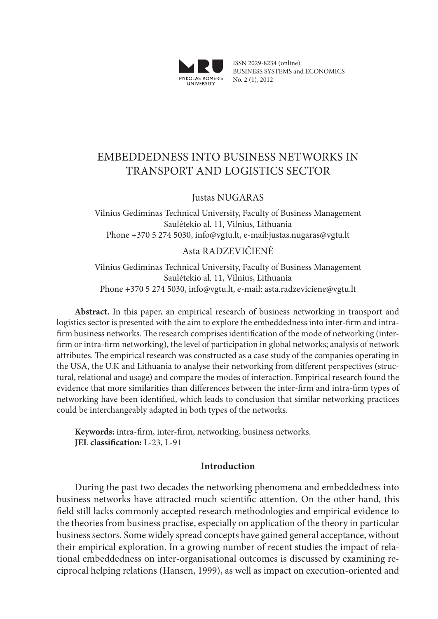

ISSN 2029-8234 (online) BUSINESS SYSTEMS and ECONOMICS No. 2 (1), 2012

# EMBEDDEDNESS INTO BUSINESS NETWORKS IN TRANSPORT AND LOGISTICS SECTOR

## Justas NUGARAS

Vilnius Gediminas Technical University, Faculty of Business Management Saulėtekio al. 11, Vilnius, Lithuania Phone +370 5 274 5030, info@vgtu.lt, e-mail:justas.nugaras@vgtu.lt

### Asta RADZEVIČIENĖ

Vilnius Gediminas Technical University, Faculty of Business Management Saulėtekio al. 11, Vilnius, Lithuania Phone +370 5 274 5030, info@vgtu.lt, e-mail: asta.radzeviciene@vgtu.lt

**Abstract.** In this paper, an empirical research of business networking in transport and logistics sector is presented with the aim to explore the embeddedness into inter-firm and intrafirm business networks. The research comprises identification of the mode of networking (interfirm or intra-firm networking), the level of participation in global networks; analysis of network attributes. The empirical research was constructed as a case study of the companies operating in the USA, the U.K and Lithuania to analyse their networking from different perspectives (structural, relational and usage) and compare the modes of interaction. Empirical research found the evidence that more similarities than differences between the inter-firm and intra-firm types of networking have been identified, which leads to conclusion that similar networking practices could be interchangeably adapted in both types of the networks.

**Keywords:** intra-firm, inter-firm, networking, business networks. **JEL classification:** L-23, L-91

### **Introduction**

During the past two decades the networking phenomena and embeddedness into business networks have attracted much scientific attention. On the other hand, this field still lacks commonly accepted research methodologies and empirical evidence to the theories from business practise, especially on application of the theory in particular business sectors. Some widely spread concepts have gained general acceptance, without their empirical exploration. In a growing number of recent studies the impact of relational embeddedness on inter-organisational outcomes is discussed by examining reciprocal helping relations (Hansen, 1999), as well as impact on execution-oriented and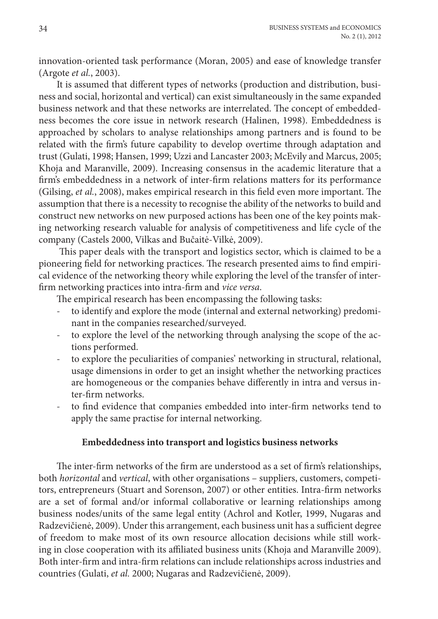innovation-oriented task performance (Moran, 2005) and ease of knowledge transfer (Argote *et al.*, 2003).

It is assumed that different types of networks (production and distribution, business and social, horizontal and vertical) can exist simultaneously in the same expanded business network and that these networks are interrelated. The concept of embeddedness becomes the core issue in network research (Halinen, 1998). Embeddedness is approached by scholars to analyse relationships among partners and is found to be related with the firm's future capability to develop overtime through adaptation and trust (Gulati, 1998; Hansen, 1999; Uzzi and Lancaster 2003; McEvily and Marcus, 2005; Khoja and Maranville, 2009). Increasing consensus in the academic literature that a firm's embeddedness in a network of inter-firm relations matters for its performance (Gilsing, *et al.*, 2008), makes empirical research in this field even more important. The assumption that there is a necessity to recognise the ability of the networks to build and construct new networks on new purposed actions has been one of the key points making networking research valuable for analysis of competitiveness and life cycle of the company (Castels 2000, Vilkas and Bučaitė-Vilkė, 2009).

 This paper deals with the transport and logistics sector, which is claimed to be a pioneering field for networking practices. The research presented aims to find empirical evidence of the networking theory while exploring the level of the transfer of interfirm networking practices into intra-firm and *vice versa*.

The empirical research has been encompassing the following tasks:

- to identify and explore the mode (internal and external networking) predominant in the companies researched/surveyed.
- to explore the level of the networking through analysing the scope of the actions performed.
- to explore the peculiarities of companies' networking in structural, relational, usage dimensions in order to get an insight whether the networking practices are homogeneous or the companies behave differently in intra and versus inter-firm networks.
- to find evidence that companies embedded into inter-firm networks tend to apply the same practise for internal networking.

# **Embeddedness into transport and logistics business networks**

The inter-firm networks of the firm are understood as a set of firm's relationships, both *horizontal* and *vertical*, with other organisations – suppliers, customers, competitors, entrepreneurs (Stuart and Sorenson, 2007) or other entities. Intra-firm networks are a set of formal and/or informal collaborative or learning relationships among business nodes/units of the same legal entity (Achrol and Kotler, 1999, Nugaras and Radzevičienė, 2009). Under this arrangement, each business unit has a sufficient degree of freedom to make most of its own resource allocation decisions while still working in close cooperation with its affiliated business units (Khoja and Maranville 2009). Both inter-firm and intra-firm relations can include relationships across industries and countries (Gulati, *et al.* 2000; Nugaras and Radzevičienė, 2009).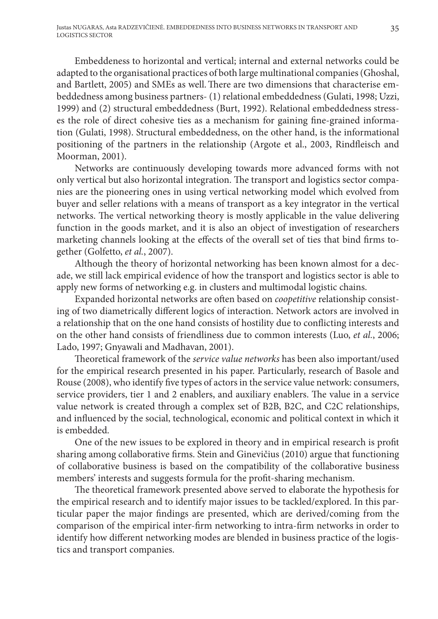Embeddeness to horizontal and vertical; internal and external networks could be adapted to the organisational practices of both large multinational companies (Ghoshal, and Bartlett, 2005) and SMEs as well.There are two dimensions that characterise embeddedness among business partners- (1) relational embeddedness (Gulati, 1998; Uzzi, 1999) and (2) structural embeddedness (Burt, 1992). Relational embeddedness stresses the role of direct cohesive ties as a mechanism for gaining fine-grained information (Gulati, 1998). Structural embeddedness, on the other hand, is the informational positioning of the partners in the relationship (Argote et al., 2003, Rindfleisch and Moorman, 2001).

Networks are continuously developing towards more advanced forms with not only vertical but also horizontal integration. The transport and logistics sector companies are the pioneering ones in using vertical networking model which evolved from buyer and seller relations with a means of transport as a key integrator in the vertical networks. The vertical networking theory is mostly applicable in the value delivering function in the goods market, and it is also an object of investigation of researchers marketing channels looking at the effects of the overall set of ties that bind firms together (Golfetto, *et al.*, 2007).

Although the theory of horizontal networking has been known almost for a decade, we still lack empirical evidence of how the transport and logistics sector is able to apply new forms of networking e.g. in clusters and multimodal logistic chains.

Expanded horizontal networks are often based on *coopetitive* relationship consisting of two diametrically different logics of interaction. Network actors are involved in a relationship that on the one hand consists of hostility due to conflicting interests and on the other hand consists of friendliness due to common interests (Luo, *et al.*, 2006; Lado, 1997; Gnyawali and Madhavan, 2001).

Theoretical framework of the *service value networks* has been also important/used for the empirical research presented in his paper. Particularly, research of Basole and Rouse (2008), who identify five types of actors in the service value network: consumers, service providers, tier 1 and 2 enablers, and auxiliary enablers. The value in a service value network is created through a complex set of B2B, B2C, and C2C relationships, and influenced by the social, technological, economic and political context in which it is embedded.

One of the new issues to be explored in theory and in empirical research is profit sharing among collaborative firms. Stein and Ginevičius (2010) argue that functioning of collaborative business is based on the compatibility of the collaborative business members' interests and suggests formula for the profit-sharing mechanism.

The theoretical framework presented above served to elaborate the hypothesis for the empirical research and to identify major issues to be tackled/explored. In this particular paper the major findings are presented, which are derived/coming from the comparison of the empirical inter-firm networking to intra-firm networks in order to identify how different networking modes are blended in business practice of the logistics and transport companies.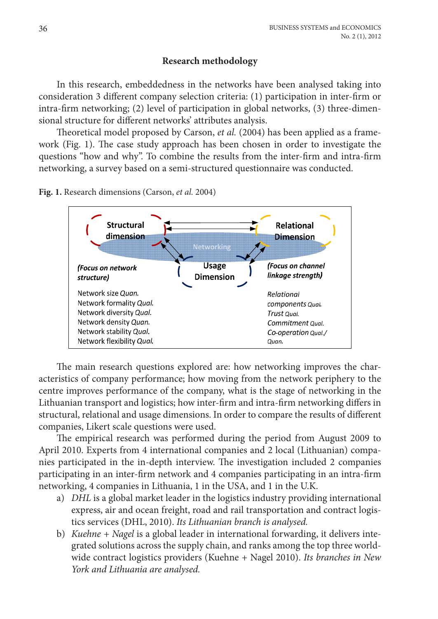## **Research methodology**

In this research, embeddedness in the networks have been analysed taking into consideration 3 different company selection criteria: (1) participation in inter-firm or intra-firm networking; (2) level of participation in global networks, (3) three-dimensional structure for different networks' attributes analysis.

Theoretical model proposed by Carson, *et al.* (2004) has been applied as a framework (Fig. 1). The case study approach has been chosen in order to investigate the questions "how and why". To combine the results from the inter-firm and intra-firm networking, a survey based on a semi-structured questionnaire was conducted.

**Fig. 1.** Research dimensions (Carson, *et al.* 2004)



The main research questions explored are: how networking improves the characteristics of company performance; how moving from the network periphery to the centre improves performance of the company, what is the stage of networking in the Lithuanian transport and logistics; how inter-firm and intra-firm networking differs in structural, relational and usage dimensions. In order to compare the results of different companies, Likert scale questions were used.

The empirical research was performed during the period from August 2009 to April 2010. Experts from 4 international companies and 2 local (Lithuanian) companies participated in the in-depth interview. The investigation included 2 companies participating in an inter-firm network and 4 companies participating in an intra-firm networking, 4 companies in Lithuania, 1 in the USA, and 1 in the U.K.

- a) *DHL* is a global market leader in the logistics industry providing international express, air and ocean freight, road and rail transportation and contract logistics services (DHL, 2010). *Its Lithuanian branch is analysed.*
- b) *Kuehne + Nagel* is a global leader in international forwarding, it delivers integrated solutions across the supply chain, and ranks among the top three worldwide contract logistics providers (Kuehne + Nagel 2010). *Its branches in New York and Lithuania are analysed.*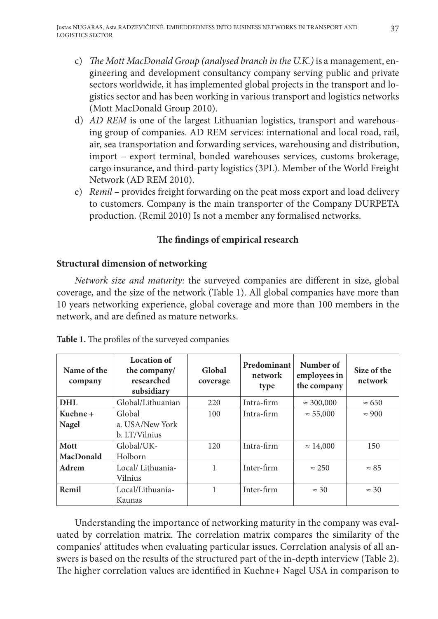- c) *The Mott MacDonald Group (analysed branch in the U.K.)* is a management, engineering and development consultancy company serving public and private sectors worldwide, it has implemented global projects in the transport and logistics sector and has been working in various transport and logistics networks (Mott MacDonald Group 2010).
- d) *AD REM* is one of the largest Lithuanian logistics, transport and warehousing group of companies. AD REM services: international and local road, rail, air, sea transportation and forwarding services, warehousing and distribution, import – export terminal, bonded warehouses services, customs brokerage, cargo insurance, and third-party logistics (3PL). Member of the World Freight Network (AD REM 2010).
- e) *Remil* provides freight forwarding on the peat moss export and load delivery to customers. Company is the main transporter of the Company DURPETA production. (Remil 2010) Is not a member any formalised networks.

# **The findings of empirical research**

# **Structural dimension of networking**

*Network size and maturity:* the surveyed companies are different in size, global coverage, and the size of the network (Table 1). All global companies have more than 10 years networking experience, global coverage and more than 100 members in the network, and are defined as mature networks.

| Name of the<br>company | Location of<br>the company/<br>researched<br>subsidiary | Global<br>coverage | Predominant<br>network<br>type | Number of<br>employees in<br>the company | Size of the<br>network |
|------------------------|---------------------------------------------------------|--------------------|--------------------------------|------------------------------------------|------------------------|
| <b>DHL</b>             | Global/Lithuanian                                       | 220                | Intra-firm                     | $\approx 300,000$                        | $\approx 650$          |
| Kuehne +               | Global                                                  | 100                | Intra-firm                     | $\approx 55,000$                         | $\approx 900$          |
| Nagel                  | a. USA/New York<br>b. LT/Vilnius                        |                    |                                |                                          |                        |
| Mott<br>MacDonald      | Global/UK-<br>Holborn                                   | 120                | Intra-firm                     | $\approx 14,000$                         | 150                    |
| Adrem                  | Local/Lithuania-<br>Vilnius                             |                    | Inter-firm                     | $\approx 250$                            | $\approx 85$           |
| Remil                  | Local/Lithuania-<br>Kaunas                              | 1                  | Inter-firm                     | $\approx$ 30                             | $\approx$ 30           |

| Table 1. The profiles of the surveyed companies |  |  |  |  |  |  |
|-------------------------------------------------|--|--|--|--|--|--|
|-------------------------------------------------|--|--|--|--|--|--|

Understanding the importance of networking maturity in the company was evaluated by correlation matrix. The correlation matrix compares the similarity of the companies' attitudes when evaluating particular issues. Correlation analysis of all answers is based on the results of the structured part of the in-depth interview (Table 2). The higher correlation values are identified in Kuehne+ Nagel USA in comparison to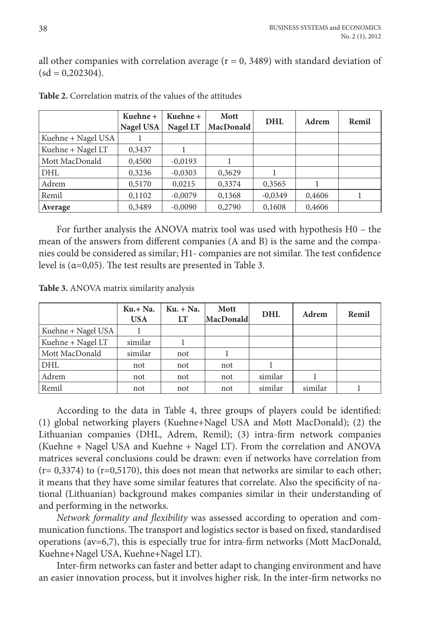all other companies with correlation average  $(r = 0, 3489)$  with standard deviation of  $(sd = 0.202304).$ 

|                    | Kuehne +<br>Nagel USA | Kuehne +<br>Nagel LT | <b>Mott</b><br>MacDonald | <b>DHL</b> | Adrem  | Remil |
|--------------------|-----------------------|----------------------|--------------------------|------------|--------|-------|
| Kuehne + Nagel USA |                       |                      |                          |            |        |       |
| Kuehne + Nagel LT  | 0,3437                |                      |                          |            |        |       |
| Mott MacDonald     | 0,4500                | $-0.0193$            |                          |            |        |       |
| <b>DHL</b>         | 0,3236                | $-0,0303$            | 0,3629                   |            |        |       |
| Adrem              | 0,5170                | 0,0215               | 0,3374                   | 0,3565     |        |       |
| Remil              | 0,1102                | $-0,0079$            | 0,1368                   | $-0,0349$  | 0,4606 |       |
| Average            | 0,3489                | $-0.0090$            | 0,2790                   | 0,1608     | 0,4606 |       |

**Table 2.** Correlation matrix of the values of the attitudes

For further analysis the ANOVA matrix tool was used with hypothesis H0 – the mean of the answers from different companies (A and B) is the same and the companies could be considered as similar; H1- companies are not similar. The test confidence level is (α=0,05). The test results are presented in Table 3.

**Table 3.** ANOVA matrix similarity analysis

|                    | $Ku + Na$ .<br><b>USA</b> | $Ku. + Na.$<br>LT | Mott<br>MacDonald | <b>DHL</b> | Adrem   | Remil |
|--------------------|---------------------------|-------------------|-------------------|------------|---------|-------|
| Kuehne + Nagel USA |                           |                   |                   |            |         |       |
| Kuehne + Nagel LT  | similar                   |                   |                   |            |         |       |
| Mott MacDonald     | similar                   | not               |                   |            |         |       |
| <b>DHL</b>         | not                       | not               | not               |            |         |       |
| Adrem              | not                       | not               | not               | similar    |         |       |
| Remil              | not                       | not               | not               | similar    | similar |       |

According to the data in Table 4, three groups of players could be identified: (1) global networking players (Kuehne+Nagel USA and Mott MacDonald); (2) the Lithuanian companies (DHL, Adrem, Remil); (3) intra-firm network companies (Kuehne + Nagel USA and Kuehne + Nagel LT). From the correlation and ANOVA matrices several conclusions could be drawn: even if networks have correlation from  $(r= 0.3374)$  to  $(r= 0.5170)$ , this does not mean that networks are similar to each other; it means that they have some similar features that correlate. Also the specificity of national (Lithuanian) background makes companies similar in their understanding of and performing in the networks.

*Network formality and flexibility* was assessed according to operation and communication functions. The transport and logistics sector is based on fixed, standardised operations (av=6,7), this is especially true for intra-firm networks (Mott MacDonald, Kuehne+Nagel USA, Kuehne+Nagel LT).

Inter-firm networks can faster and better adapt to changing environment and have an easier innovation process, but it involves higher risk. In the inter-firm networks no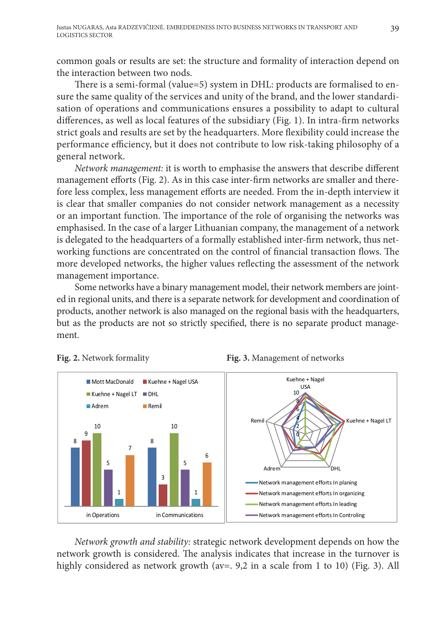common goals or results are set: the structure and formality of interaction depend on the interaction between two nods.

There is a semi-formal (value=5) system in DHL: products are formalised to ensure the same quality of the services and unity of the brand, and the lower standardisation of operations and communications ensures a possibility to adapt to cultural differences, as well as local features of the subsidiary (Fig. 1). In intra-firm networks strict goals and results are set by the headquarters. More flexibility could increase the performance efficiency, but it does not contribute to low risk-taking philosophy of a general network.

*Network management:* it is worth to emphasise the answers that describe different management efforts (Fig. 2). As in this case inter-firm networks are smaller and therefore less complex, less management efforts are needed. From the in-depth interview it is clear that smaller companies do not consider network management as a necessity or an important function. The importance of the role of organising the networks was emphasised. In the case of a larger Lithuanian company, the management of a network is delegated to the headquarters of a formally established inter-firm network, thus networking functions are concentrated on the control of financial transaction flows. The more developed networks, the higher values reflecting the assessment of the network management importance.

Some networks have a binary management model, their network members are jointed in regional units, and there is a separate network for development and coordination of products, another network is also managed on the regional basis with the headquarters, but as the products are not so strictly specified, there is no separate product management.





 *Network growth and stability:* strategic network development depends on how the network growth is considered. The analysis indicates that increase in the turnover is highly considered as network growth (av=.  $9,2$  in a scale from 1 to 10) (Fig. 3). All

**Fig. 2.** Network formality **Fig. 3.** Management of networks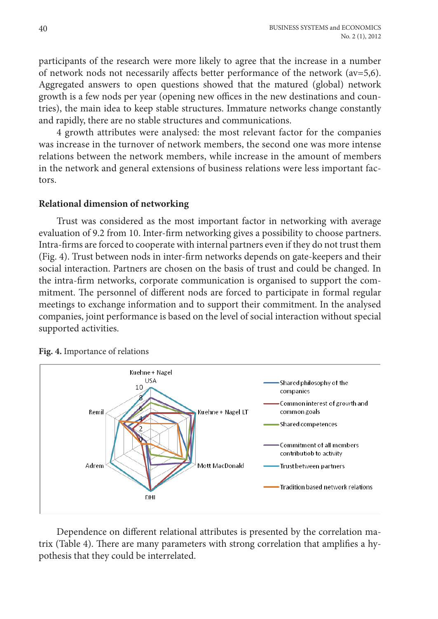participants of the research were more likely to agree that the increase in a number of network nods not necessarily affects better performance of the network (av=5,6). Aggregated answers to open questions showed that the matured (global) network growth is a few nods per year (opening new offices in the new destinations and countries), the main idea to keep stable structures. Immature networks change constantly and rapidly, there are no stable structures and communications.

4 growth attributes were analysed: the most relevant factor for the companies was increase in the turnover of network members, the second one was more intense relations between the network members, while increase in the amount of members in the network and general extensions of business relations were less important factors.

#### **Relational dimension of networking**

Trust was considered as the most important factor in networking with average evaluation of 9.2 from 10. Inter-firm networking gives a possibility to choose partners. Intra-firms are forced to cooperate with internal partners even if they do not trust them (Fig. 4). Trust between nods in inter-firm networks depends on gate-keepers and their social interaction. Partners are chosen on the basis of trust and could be changed. In the intra-firm networks, corporate communication is organised to support the commitment. The personnel of different nods are forced to participate in formal regular meetings to exchange information and to support their commitment. In the analysed companies, joint performance is based on the level of social interaction without special supported activities.



**Fig. 4.** Importance of relations

Dependence on different relational attributes is presented by the correlation matrix (Table 4). There are many parameters with strong correlation that amplifies a hypothesis that they could be interrelated.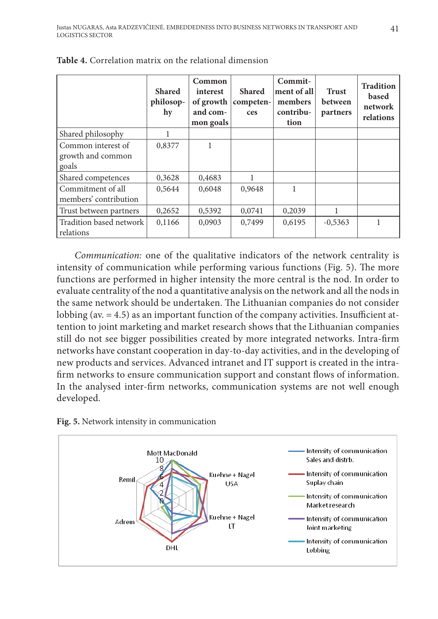|                                                  | <b>Shared</b><br>philosop-<br>hy | Common<br>interest<br>of growth $ $<br>and com-<br>mon goals | <b>Shared</b><br>competen-<br>ces | Commit-<br>ment of all<br>members<br>contribu-<br>tion | <b>Trust</b><br>between<br>partners | <b>Tradition</b><br>based<br>network<br>relations |
|--------------------------------------------------|----------------------------------|--------------------------------------------------------------|-----------------------------------|--------------------------------------------------------|-------------------------------------|---------------------------------------------------|
| Shared philosophy                                |                                  |                                                              |                                   |                                                        |                                     |                                                   |
| Common interest of<br>growth and common<br>goals | 0,8377                           |                                                              |                                   |                                                        |                                     |                                                   |
| Shared competences                               | 0,3628                           | 0,4683                                                       |                                   |                                                        |                                     |                                                   |
| Commitment of all<br>members' contribution       | 0,5644                           | 0,6048                                                       | 0,9648                            | 1                                                      |                                     |                                                   |
| Trust between partners                           | 0,2652                           | 0,5392                                                       | 0,0741                            | 0,2039                                                 | 1                                   |                                                   |
| Tradition based network<br>relations             | 0,1166                           | 0,0903                                                       | 0,7499                            | 0,6195                                                 | $-0,5363$                           |                                                   |

**Table 4.** Correlation matrix on the relational dimension

*Communication:* one of the qualitative indicators of the network centrality is intensity of communication while performing various functions (Fig. 5). The more functions are performed in higher intensity the more central is the nod. In order to evaluate centrality of the nod a quantitative analysis on the network and all the nods in the same network should be undertaken. The Lithuanian companies do not consider lobbing (av. = 4.5) as an important function of the company activities. Insufficient attention to joint marketing and market research shows that the Lithuanian companies still do not see bigger possibilities created by more integrated networks. Intra-firm networks have constant cooperation in day-to-day activities, and in the developing of new products and services. Advanced intranet and IT support is created in the intrafirm networks to ensure communication support and constant flows of information. In the analysed inter-firm networks, communication systems are not well enough developed.



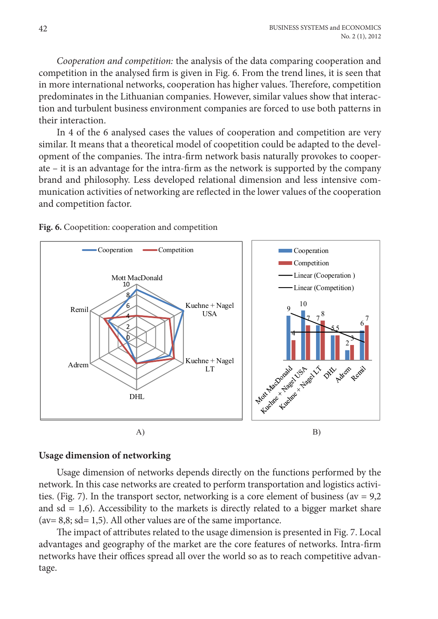*Cooperation and competition:* the analysis of the data comparing cooperation and competition in the analysed firm is given in Fig. 6. From the trend lines, it is seen that in more international networks, cooperation has higher values. Therefore, competition predominates in the Lithuanian companies. However, similar values show that interaction and turbulent business environment companies are forced to use both patterns in their interaction.

In 4 of the 6 analysed cases the values of cooperation and competition are very similar. It means that a theoretical model of coopetition could be adapted to the development of the companies. The intra-firm network basis naturally provokes to cooperate – it is an advantage for the intra-firm as the network is supported by the company brand and philosophy. Less developed relational dimension and less intensive communication activities of networking are reflected in the lower values of the cooperation and competition factor.

Fig. 6. Coopetition: cooperation and competition



#### **Usage dimension of networking**

Usage dimension of networks depends directly on the functions performed by the network. In this case networks are created to perform transportation and logistics activities. (Fig. 7). In the transport sector, networking is a core element of business ( $av = 9.2$ ) and  $sd = 1,6$ ). Accessibility to the markets is directly related to a bigger market share  $(av= 8,8; sd= 1,5)$ . All other values are of the same importance.

The impact of attributes related to the usage dimension is presented in Fig. 7. Local advantages and geography of the market are the core features of networks. Intra-firm networks have their offices spread all over the world so as to reach competitive advantage.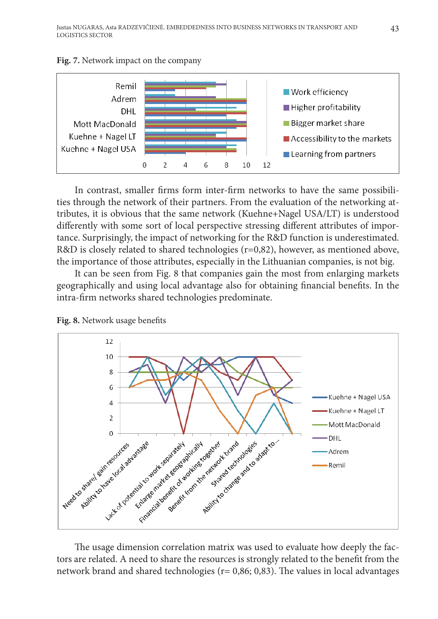

**Fig. 7.** Network impact on the company

 In contrast, smaller firms form inter-firm networks to have the same possibilities through the network of their partners. From the evaluation of the networking attributes, it is obvious that the same network (Kuehne+Nagel USA/LT) is understood differently with some sort of local perspective stressing different attributes of importance. Surprisingly, the impact of networking for the R&D function is underestimated. R&D is closely related to shared technologies  $(r=0.82)$ , however, as mentioned above, the importance of those attributes, especially in the Lithuanian companies, is not big.

It can be seen from Fig. 8 that companies gain the most from enlarging markets geographically and using local advantage also for obtaining financial benefits. In the intra-firm networks shared technologies predominate.



**Fig. 8.** Network usage benefits

 The usage dimension correlation matrix was used to evaluate how deeply the factors are related. A need to share the resources is strongly related to the benefit from the network brand and shared technologies ( $r = 0.86$ ; 0.83). The values in local advantages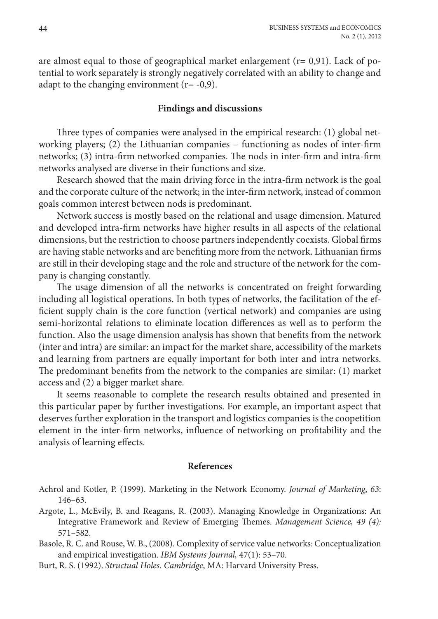are almost equal to those of geographical market enlargement  $(r= 0.91)$ . Lack of potential to work separately is strongly negatively correlated with an ability to change and adapt to the changing environment  $(r=-0,9)$ .

#### **Findings and discussions**

Three types of companies were analysed in the empirical research: (1) global networking players; (2) the Lithuanian companies – functioning as nodes of inter-firm networks; (3) intra-firm networked companies. The nods in inter-firm and intra-firm networks analysed are diverse in their functions and size.

Research showed that the main driving force in the intra-firm network is the goal and the corporate culture of the network; in the inter-firm network, instead of common goals common interest between nods is predominant.

Network success is mostly based on the relational and usage dimension. Matured and developed intra-firm networks have higher results in all aspects of the relational dimensions, but the restriction to choose partners independently coexists. Global firms are having stable networks and are benefiting more from the network. Lithuanian firms are still in their developing stage and the role and structure of the network for the company is changing constantly.

The usage dimension of all the networks is concentrated on freight forwarding including all logistical operations. In both types of networks, the facilitation of the efficient supply chain is the core function (vertical network) and companies are using semi-horizontal relations to eliminate location differences as well as to perform the function. Also the usage dimension analysis has shown that benefits from the network (inter and intra) are similar: an impact for the market share, accessibility of the markets and learning from partners are equally important for both inter and intra networks. The predominant benefits from the network to the companies are similar: (1) market access and (2) a bigger market share.

It seems reasonable to complete the research results obtained and presented in this particular paper by further investigations. For example, an important aspect that deserves further exploration in the transport and logistics companies is the coopetition element in the inter-firm networks, influence of networking on profitability and the analysis of learning effects.

#### **References**

- Achrol and Kotler, P. (1999). Marketing in the Network Economy. *Journal of Marketing*, *63*: 146–63.
- Argote, L., McEvily, B. and Reagans, R. (2003). Managing Knowledge in Organizations: An Integrative Framework and Review of Emerging Themes. *Management Science, 49 (4):* 571–582.
- Basole, R. C. and Rouse, W. B., (2008). Complexity of service value networks: Conceptualization and empirical investigation. *IBM Systems Journal,* 47(1): 53–70*.*
- Burt, R. S. (1992). *Structual Holes. Cambridge*, MA: Harvard University Press.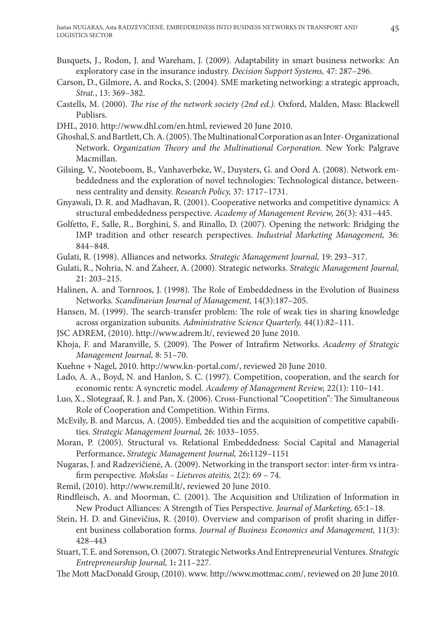- Busquets, J., Rodon, J. and Wareham, J. (2009). Adaptability in smart business networks: An exploratory case in the insurance industry. *Decision Support Systems,* 47: 287–296.
- Carson, D., Gilmore, A. and Rocks, S. (2004). SME marketing networking: a strategic approach, *Strat.*, 13: 369–382.
- Castells, M. (2000). *The rise of the network society (2nd ed.).* Oxford, Malden, Mass: Blackwell Publisrs.
- DHL, 2010. http://www.dhl.com/en.html, reviewed 20 June 2010.
- Ghoshal, S. and Bartlett, Ch. A. (2005). The Multinational Corporation as an Inter- Organizational Network. *Organization Theory and the Multinational Corporation.* New York: Palgrave Macmillan.
- Gilsing, V., Nooteboom, B., Vanhaverbeke, W., Duysters, G. and Oord A. (2008). Network embeddedness and the exploration of novel technologies: Technological distance, betweenness centrality and density. *Research Policy,* 37: 1717–1731.
- Gnyawali, D. R. and Madhavan, R. (2001). Cooperative networks and competitive dynamics: A structural embeddedness perspective. *Academy of Management Review,* 26(3): 431–445.
- Golfetto, F., Salle, R., Borghini, S. and Rinallo, D. (2007). Opening the network: Bridging the IMP tradition and other research perspectives. *Industrial Marketing Management,* 36: 844−848.
- Gulati, R. (1998). Alliances and networks. *Strategic Management Journal,* 19: 293–317.
- Gulati, R., Nohria, N. and Zaheer, A. (2000). Strategic networks. *Strategic Management Journal,* 21: 203–215.
- Halinen, A. and Tornroos, J. (1998). The Role of Embeddedness in the Evolution of Business Networks*. Scandinavian Journal of Management,* 14(3):187–205.
- Hansen, M. (1999). The search-transfer problem: The role of weak ties in sharing knowledge across organization subunits. *Administrative Science Quarterly,* 44(1):82–111.
- JSC ADREM, (2010). http://www.adrem.lt/, reviewed 20 June 2010.
- Khoja, F. and Maranville, S. (2009). The Power of Intrafirm Networks. *Academy of Strategic Management Journal,* 8: 51–70.
- Kuehne + Nagel, 2010. http://www.kn-portal.com/, reviewed 20 June 2010.
- Lado, A. A., Boyd, N. and Hanlon, S. C. (1997). Competition, cooperation, and the search for economic rents: A syncretic model. *Academy of Management Review,* 22(1): 110–141.
- Luo, X., Slotegraaf, R. J. and Pan, X. (2006). Cross-Functional "Coopetition": The Simultaneous Role of Cooperation and Competition. Within Firms.
- McEvily, B. and Marcus, A. (2005). Embedded ties and the acquisition of competitive capabilities. *Strategic Management Journal,* 26: 1033–1055.
- Moran, P. (2005). Structural vs. Relational Embeddedness: Social Capital and Managerial Performance**.** *Strategic Management Journal,* 26**:**1129–1151
- Nugaras, J. and Radzevičienė, A. (2009). Networking in the transport sector: inter-firm vs intrafirm perspective*. Mokslas – Lietuvos ateitis,* 2(2): 69 – 74.
- Remil, (2010). http://www.remil.lt/, reviewed 20 June 2010.
- Rindfleisch, A. and Moorman, C. (2001). The Acquisition and Utilization of Information in New Product Alliances: A Strength of Ties Perspective*. Journal of Marketing,* 65:1–18.
- Stein, H. D. and Ginevičius, R. (2010). Overview and comparison of profit sharing in different business collaboration forms. *Journal of Business Economics and Management,* 11(3): 428–443
- Stuart, T. E. and Sorenson, O. (2007). Strategic Networks And Entrepreneurial Ventures. *Strategic Entrepreneurship Journal,* 1**:** 211–227.
- The Mott MacDonald Group, (2010). www. http://www.mottmac.com/, reviewed on 20 June 2010.